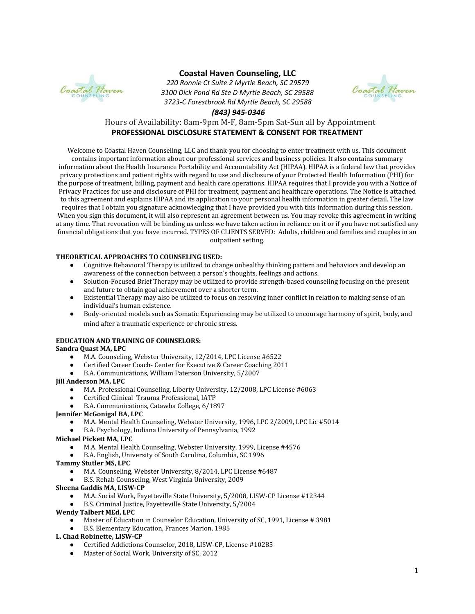

# **Coastal Haven Counseling, LLC**

*220 Ronnie Ct Suite 2 Myrtle Beach, SC 29579 3100 Dick Pond Rd Ste D Myrtle Beach, SC 29588 3723-C Forestbrook Rd Myrtle Beach, SC 29588*



*(843) 945-0346*

# Hours of Availability: 8am-9pm M-F, 8am-5pm Sat-Sun all by Appointment **PROFESSIONAL DISCLOSURE STATEMENT & CONSENT FOR TREATMENT**

Welcome to Coastal Haven Counseling, LLC and thank-you for choosing to enter treatment with us. This document contains important information about our professional services and business policies. It also contains summary information about the Health Insurance Portability and Accountability Act (HIPAA). HIPAA is a federal law that provides privacy protections and patient rights with regard to use and disclosure of your Protected Health Information (PHI) for the purpose of treatment, billing, payment and health care operations. HIPAA requires that I provide you with a Notice of Privacy Practices for use and disclosure of PHI for treatment, payment and healthcare operations. The Notice is attached to this agreement and explains HIPAA and its application to your personal health information in greater detail. The law requires that I obtain you signature acknowledging that I have provided you with this information during this session. When you sign this document, it will also represent an agreement between us. You may revoke this agreement in writing at any time. That revocation will be binding us unless we have taken action in reliance on it or if you have not satisfied any financial obligations that you have incurred. TYPES OF CLIENTS SERVED: Adults, children and families and couples in an outpatient setting.

# **THEORETICAL APPROACHES TO COUNSELING USED:**

- Cognitive Behavioral Therapy is utilized to change unhealthy thinking pattern and behaviors and develop an awareness of the connection between a person's thoughts, feelings and actions.
- Solution-Focused Brief Therapy may be utilized to provide strength-based counseling focusing on the present and future to obtain goal achievement over a shorter term.
- Existential Therapy may also be utilized to focus on resolving inner conflict in relation to making sense of an individual's human existence.
- Body-oriented models such as Somatic Experiencing may be utilized to encourage harmony of spirit, body, and mind after a traumatic experience or chronic stress.

# **EDUCATION AND TRAINING OF COUNSELORS:**

# **Sandra Quast MA, LPC**

- M.A. Counseling, Webster University, 12/2014, LPC License #6522
- Certified Career Coach- Center for Executive & Career Coaching 2011
- B.A. Communications, William Paterson University, 5/2007

### **Jill Anderson MA, LPC**

- M.A. Professional Counseling, Liberty University, 12/2008, LPC License #6063
- Certified Clinical Trauma Professional, IATP
- B.A. Communications, Catawba College, 6/1897

### **Jennifer McGonigal BA, LPC**

- M.A. Mental Health Counseling, Webster University, 1996, LPC 2/2009, LPC Lic #5014
- B.A. Psychology, Indiana University of Pennsylvania, 1992

## **Michael Pickett MA, LPC**

- M.A. Mental Health Counseling, Webster University, 1999, License #4576
- B.A. English, University of South Carolina, Columbia, SC 1996

### **Tammy Stutler MS, LPC**

- M.A. Counseling, Webster University, 8/2014, LPC License #6487
- B.S. Rehab Counseling, West Virginia University, 2009

### **Sheena Gaddis MA, LISW-CP**

- M.A. Social Work, Fayetteville State University, 5/2008, LISW-CP License #12344
- B.S. Criminal Justice, Fayetteville State University, 5/2004

### **Wendy Talbert MEd, LPC**

- Master of Education in Counselor Education, University of SC, 1991, License # 3981
- B.S. Elementary Education, Frances Marion, 1985

### **L. Chad Robinette, LISW-CP**

- Certified Addictions Counselor, 2018, LISW-CP, License #10285
- Master of Social Work, University of SC, 2012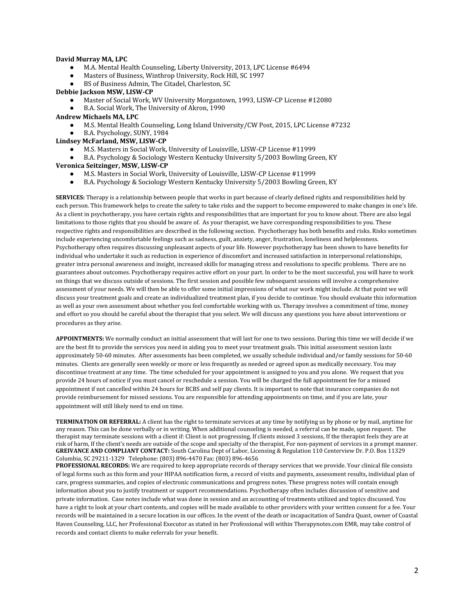#### **David Murray MA, LPC**

- M.A. Mental Health Counseling, Liberty University, 2013, LPC License #6494
- Masters of Business, Winthrop University, Rock Hill, SC 1997
- BS of Business Admin, The Citadel, Charleston, SC

#### **Debbie Jackson MSW, LISW-CP**

- Master of Social Work, WV University Morgantown, 1993, LISW-CP License #12080
	- B.A. Social Work, The University of Akron, 1990

#### **Andrew Michaels MA, LPC**

- M.S. Mental Health Counseling, Long Island University/CW Post, 2015, LPC License #7232
- **●** B.A. Psychology, SUNY, 1984

#### **Lindsey McFarland, MSW, LISW-CP**

- M.S. Masters in Social Work, University of Louisville, LISW-CP License #11999
- **●** B.A. Psychology & Sociology Western Kentucky University 5/2003 Bowling Green, KY

#### **Veronica Seitzinger, MSW, LISW-CP**

- M.S. Masters in Social Work, University of Louisville, LISW-CP License #11999
- **●** B.A. Psychology & Sociology Western Kentucky University 5/2003 Bowling Green, KY

**SERVICES:** Therapy is a relationship between people that works in part because of clearly defined rights and responsibilities held by each person. This framework helps to create the safety to take risks and the support to become empowered to make changes in one's life. As a client in psychotherapy, you have certain rights and responsibilities that are important for you to know about. There are also legal limitations to those rights that you should be aware of. As your therapist, we have corresponding responsibilities to you. These respective rights and responsibilities are described in the following section. Psychotherapy has both benefits and risks. Risks sometimes include experiencing uncomfortable feelings such as sadness, guilt, anxiety, anger, frustration, loneliness and helplessness. Psychotherapy often requires discussing unpleasant aspects of your life. However psychotherapy has been shown to have benefits for individual who undertake it such as reduction in experience of discomfort and increased satisfaction in interpersonal relationships, greater intra personal awareness and insight, increased skills for managing stress and resolutions to specific problems. There are no guarantees about outcomes. Psychotherapy requires active effort on your part. In order to be the most successful, you will have to work on things that we discuss outside of sessions. The first session and possible few subsequent sessions will involve a comprehensive assessment of your needs. We will then be able to offer some initial impressions of what our work might include. At that point we will discuss your treatment goals and create an individualized treatment plan, if you decide to continue. You should evaluate this information as well as your own assessment about whether you feel comfortable working with us. Therapy involves a commitment of time, money and effort so you should be careful about the therapist that you select. We will discuss any questions you have about interventions or procedures as they arise.

**APPOINTMENTS:** We normally conduct an initial assessment that will last for one to two sessions. During this time we will decide if we are the best fit to provide the services you need in aiding you to meet your treatment goals. This initial assessment session lasts approximately 50-60 minutes. After assessments has been completed, we usually schedule individual and/or family sessions for 50-60 minutes. Clients are generally seen weekly or more or less frequently as needed or agreed upon as medically necessary. You may discontinue treatment at any time. The time scheduled for your appointment is assigned to you and you alone. We request that you provide 24 hours of notice if you must cancel or reschedule a session. You will be charged the full appointment fee for a missed appointment if not cancelled within 24 hours for BCBS and self pay clients. It is important to note that insurance companies do not provide reimbursement for missed sessions. You are responsible for attending appointments on time, and if you are late, your appointment will still likely need to end on time.

**TERMINATION OR REFERRAL:** A client has the right to terminate services at any time by notifying us by phone or by mail, anytime for any reason. This can be done verbally or in writing. When additional counseling is needed, a referral can be made, upon request. The therapist may terminate sessions with a client if: Client is not progressing, If clients missed 3 sessions, If the therapist feels they are at risk of harm, If the client's needs are outside of the scope and specialty of the therapist, For non-payment of services in a prompt manner. **GREIVANCE AND COMPLIANT CONTACT:** South Carolina Dept of Labor, Licensing & Regulation 110 Centerview Dr. P.O. Box 11329 Columbia, SC 29211-1329 Telephone: (803) 896-4470 Fax: (803) 896-4656

**PROFESSIONAL RECORDS:** We are required to keep appropriate records of therapy services that we provide. Your clinical file consists of legal forms such as this form and your HIPAA notification form, a record of visits and payments, assessment results, individual plan of care, progress summaries, and copies of electronic communications and progress notes. These progress notes will contain enough information about you to justify treatment or support recommendations. Psychotherapy often includes discussion of sensitive and private information. Case notes include what was done in session and an accounting of treatments utilized and topics discussed. You have a right to look at your chart contents, and copies will be made available to other providers with your written consent for a fee. Your records will be maintained in a secure location in our offices. In the event of the death or incapacitation of Sandra Quast, owner of Coastal Haven Counseling, LLC, her Professional Executor as stated in her Professional will within Therapynotes.com EMR, may take control of records and contact clients to make referrals for your benefit.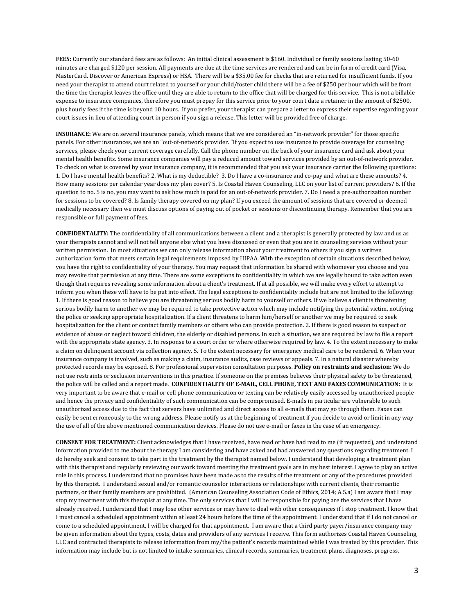**FEES:** Currently our standard fees are as follows: An initial clinical assessment is \$160. Individual or family sessions lasting 50-60 minutes are charged \$120 per session. All payments are due at the time services are rendered and can be in form of credit card (Visa, MasterCard, Discover or American Express) or HSA. There will be a \$35.00 fee for checks that are returned for insufficient funds. If you need your therapist to attend court related to yourself or your child/foster child there will be a fee of \$250 per hour which will be from the time the therapist leaves the office until they are able to return to the office that will be charged for this service. This is not a billable expense to insurance companies, therefore you must prepay for this service prior to your court date a retainer in the amount of \$2500, plus hourly fees if the time is beyond 10 hours. If you prefer, your therapist can prepare a letter to express their expertise regarding your court issues in lieu of attending court in person if you sign a release. This letter will be provided free of charge.

**INSURANCE:** We are on several insurance panels, which means that we are considered an "in-network provider" for those specific panels. For other insurances, we are an "out-of-network provider. "If you expect to use insurance to provide coverage for counseling services, please check your current coverage carefully. Call the phone number on the back of your insurance card and ask about your mental health benefits. Some insurance companies will pay a reduced amount toward services provided by an out-of-network provider. To check on what is covered by your insurance company, it is recommended that you ask your insurance carrier the following questions: 1. Do I have mental health benefits? 2. What is my deductible? 3. Do I have a co-insurance and co-pay and what are these amounts? 4. How many sessions per calendar year does my plan cover? 5. Is Coastal Haven Counseling, LLC on your list of current providers? 6. If the question to no. 5 is no, you may want to ask how much is paid for an out-of-network provider. 7. Do I need a pre-authorization number for sessions to be covered? 8. Is family therapy covered on my plan? If you exceed the amount of sessions that are covered or deemed medically necessary then we must discuss options of paying out of pocket or sessions or discontinuing therapy. Remember that you are responsible or full payment of fees.

**CONFIDENTALITY:** The confidentiality of all communications between a client and a therapist is generally protected by law and us as your therapists cannot and will not tell anyone else what you have discussed or even that you are in counseling services without your written permission. In most situations we can only release information about your treatment to others if you sign a written authorization form that meets certain legal requirements imposed by HIPAA. With the exception of certain situations described below, you have the right to confidentiality of your therapy. You may request that information be shared with whomever you choose and you may revoke that permission at any time. There are some exceptions to confidentiality in which we are legally bound to take action even though that requires revealing some information about a client's treatment. If at all possible, we will make every effort to attempt to inform you when these will have to be put into effect. The legal exceptions to confidentiality include but are not limited to the following: 1. If there is good reason to believe you are threatening serious bodily harm to yourself or others. If we believe a client is threatening serious bodily harm to another we may be required to take protective action which may include notifying the potential victim, notifying the police or seeking appropriate hospitalization. If a client threatens to harm him/herself or another we may be required to seek hospitalization for the client or contact family members or others who can provide protection. 2. If there is good reason to suspect or evidence of abuse or neglect toward children, the elderly or disabled persons. In such a situation, we are required by law to file a report with the appropriate state agency. 3. In response to a court order or where otherwise required by law. 4. To the extent necessary to make a claim on delinquent account via collection agency. 5. To the extent necessary for emergency medical care to be rendered. 6. When your insurance company is involved, such as making a claim, insurance audits, case reviews or appeals. 7. In a natural disaster whereby protected records may be exposed. 8. For professional supervision consultation purposes. **Policy on restraints and seclusion:** We do not use restraints or seclusion interventions in this practice. If someone on the premises believes their physical safety to be threatened, the police will be called and a report made. **CONFIDENTIALITY OF E-MAIL, CELL PHONE, TEXT AND FAXES COMMUNICATION:** It is very important to be aware that e-mail or cell phone communication or texting can be relatively easily accessed by unauthorized people and hence the privacy and confidentiality of such communication can be compromised. E-mails in particular are vulnerable to such unauthorized access due to the fact that servers have unlimited and direct access to all e-mails that may go through them. Faxes can easily be sent erroneously to the wrong address. Please notify us at the beginning of treatment if you decide to avoid or limit in any way the use of all of the above mentioned communication devices. Please do not use e-mail or faxes in the case of an emergency.

**CONSENT FOR TREATMENT:** Client acknowledges that I have received, have read or have had read to me (if requested), and understand information provided to me about the therapy I am considering and have asked and had answered any questions regarding treatment. I do hereby seek and consent to take part in the treatment by the therapist named below. I understand that developing a treatment plan with this therapist and regularly reviewing our work toward meeting the treatment goals are in my best interest. I agree to play an active role in this process. I understand that no promises have been made as to the results of the treatment or any of the procedures provided by this therapist. I understand sexual and/or romantic counselor interactions or relationships with current clients, their romantic partners, or their family members are prohibited. (American Counseling Association Code of Ethics, 2014; A.5.a) I am aware that I may stop my treatment with this therapist at any time. The only services that I will be responsible for paying are the services that I have already received. I understand that I may lose other services or may have to deal with other consequences if I stop treatment. I know that I must cancel a scheduled appointment within at least 24 hours before the time of the appointment. I understand that if I do not cancel or come to a scheduled appointment, I will be charged for that appointment. I am aware that a third party payer/insurance company may be given information about the types, costs, dates and providers of any services I receive. This form authorizes Coastal Haven Counseling, LLC and contracted therapists to release information from my/the patient's records maintained while I was treated by this provider. This information may include but is not limited to intake summaries, clinical records, summaries, treatment plans, diagnoses, progress,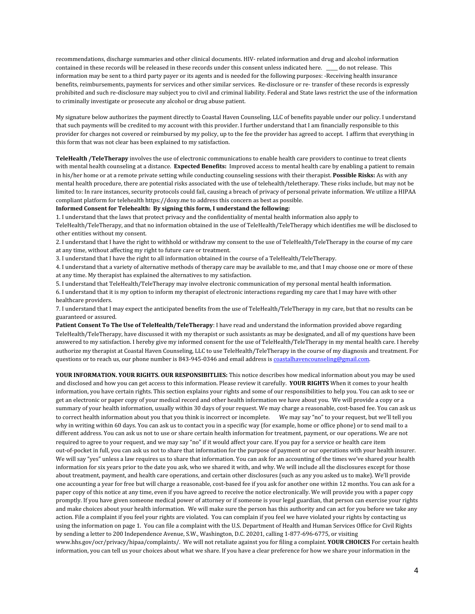recommendations, discharge summaries and other clinical documents. HIV- related information and drug and alcohol information contained in these records will be released in these records under this consent unless indicated here. \_\_\_\_\_ do not release. This information may be sent to a third party payer or its agents and is needed for the following purposes: -Receiving health insurance benefits, reimbursements, payments for services and other similar services. Re-disclosure or re- transfer of these records is expressly prohibited and such re-disclosure may subject you to civil and criminal liability. Federal and State laws restrict the use of the information to criminally investigate or prosecute any alcohol or drug abuse patient.

My signature below authorizes the payment directly to Coastal Haven Counseling, LLC of benefits payable under our policy. I understand that such payments will be credited to my account with this provider. I further understand that I am financially responsible to this provider for charges not covered or reimbursed by my policy, up to the fee the provider has agreed to accept. I affirm that everything in this form that was not clear has been explained to my satisfaction.

**TeleHealth /TeleTherapy** involves the use of electronic communications to enable health care providers to continue to treat clients with mental health counseling at a distance. **Expected Benefits:** Improved access to mental health care by enabling a patient to remain in his/her home or at a remote private setting while conducting counseling sessions with their therapist. **Possible Risks:** As with any mental health procedure, there are potential risks associated with the use of telehealth/teletherapy. These risks include, but may not be limited to: In rare instances, security protocols could fail, causing a breach of privacy of personal private information. We utilize a HIPAA compliant platform for telehealth https://doxy.me to address this concern as best as possible.

#### **Informed Consent for Telehealth: By signing this form, I understand the following:**

1. I understand that the laws that protect privacy and the confidentiality of mental health information also apply to TeleHealth/TeleTherapy, and that no information obtained in the use of TeleHealth/TeleTherapy which identifies me will be disclosed to other entities without my consent.

2. I understand that I have the right to withhold or withdraw my consent to the use of TeleHealth/TeleTherapy in the course of my care at any time, without affecting my right to future care or treatment.

3. I understand that I have the right to all information obtained in the course of a TeleHealth/TeleTherapy.

4. I understand that a variety of alternative methods of therapy care may be available to me, and that I may choose one or more of these at any time. My therapist has explained the alternatives to my satisfaction.

5. I understand that TeleHealth/TeleTherapy may involve electronic communication of my personal mental health information.

6. I understand that it is my option to inform my therapist of electronic interactions regarding my care that I may have with other healthcare providers.

7. I understand that I may expect the anticipated benefits from the use of TeleHealth/TeleTherapy in my care, but that no results can be guaranteed or assured.

**Patient Consent To The Use of TeleHealth/TeleTherapy**: I have read and understand the information provided above regarding TeleHealth/TeleTherapy, have discussed it with my therapist or such assistants as may be designated, and all of my questions have been answered to my satisfaction. I hereby give my informed consent for the use of TeleHealth/TeleTherapy in my mental health care. I hereby authorize my therapist at Coastal Haven Counseling, LLC to use TeleHealth/TeleTherapy in the course of my diagnosis and treatment. For questions or to reach us, our phone number is 843-945-0346 and email address is [coastalhavencounseling@gmail.com](mailto:coastalhavencounseling@gmail.com).

**YOUR INFORMATION. YOUR RIGHTS. OUR RESPONSIBITLIES:** This notice describes how medical information about you may be used and disclosed and how you can get access to this information. Please review it carefully. **YOUR RIGHTS** When it comes to your health information, you have certain rights. This section explains your rights and some of our responsibilities to help you. You can ask to see or get an electronic or paper copy of your medical record and other health information we have about you. We will provide a copy or a summary of your health information, usually within 30 days of your request. We may charge a reasonable, cost-based fee. You can ask us to correct health information about you that you think is incorrect or incomplete. We may say "no" to your request, but we'll tell you why in writing within 60 days. You can ask us to contact you in a specific way (for example, home or office phone) or to send mail to a different address. You can ask us not to use or share certain health information for treatment, payment, or our operations. We are not required to agree to your request, and we may say "no" if it would affect your care. If you pay for a service or health care item out-of-pocket in full, you can ask us not to share that information for the purpose of payment or our operations with your health insurer. We will say "yes" unless a law requires us to share that information. You can ask for an accounting of the times we've shared your health information for six years prior to the date you ask, who we shared it with, and why. We will include all the disclosures except for those about treatment, payment, and health care operations, and certain other disclosures (such as any you asked us to make). We'll provide one accounting a year for free but will charge a reasonable, cost-based fee if you ask for another one within 12 months. You can ask for a paper copy of this notice at any time, even if you have agreed to receive the notice electronically. We will provide you with a paper copy promptly. If you have given someone medical power of attorney or if someone is your legal guardian, that person can exercise your rights and make choices about your health information. We will make sure the person has this authority and can act for you before we take any action. File a complaint if you feel your rights are violated. You can complain if you feel we have violated your rights by contacting us using the information on page 1. You can file a complaint with the U.S. Department of Health and Human Services Office for Civil Rights by sending a letter to 200 Independence Avenue, S.W., Washington, D.C. 20201, calling 1-877-696-6775, or visiting www.hhs.gov/ocr/privacy/hipaa/complaints/. We will not retaliate against you for filing a complaint. **YOUR CHOICES** For certain health information, you can tell us your choices about what we share. If you have a clear preference for how we share your information in the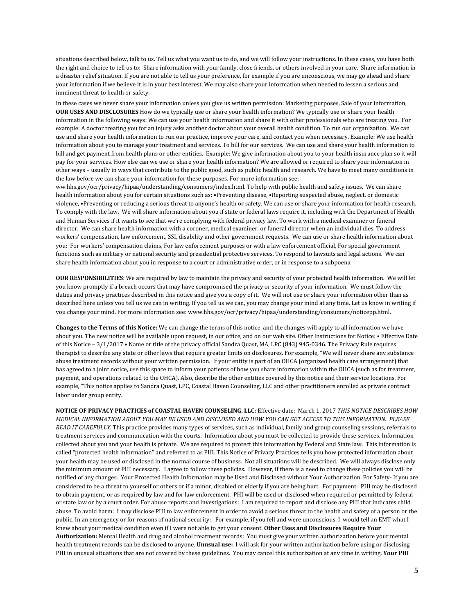situations described below, talk to us. Tell us what you want us to do, and we will follow your instructions. In these cases, you have both the right and choice to tell us to: Share information with your family, close friends, or others involved in your care. Share information in a disaster relief situation. If you are not able to tell us your preference, for example if you are unconscious, we may go ahead and share your information if we believe it is in your best interest. We may also share your information when needed to lessen a serious and imminent threat to health or safety.

In these cases we never share your information unless you give us written permission: Marketing purposes, Sale of your information, **OUR USES AND DISCLOSURES** How do we typically use or share your health information? We typically use or share your health information in the following ways: We can use your health information and share it with other professionals who are treating you. For example: A doctor treating you for an injury asks another doctor about your overall health condition. To run our organization. We can use and share your health information to run our practice, improve your care, and contact you when necessary. Example: We use health information about you to manage your treatment and services. To bill for our services. We can use and share your health information to bill and get payment from health plans or other entities. Example: We give information about you to your health insurance plan so it will pay for your services. How else can we use or share your health information? We are allowed or required to share your information in other ways – usually in ways that contribute to the public good, such as public health and research. We have to meet many conditions in the law before we can share your information for these purposes. For more information see:

ww.hhs.gov/ocr/privacy/hipaa/understanding/consumers/index.html. To help with public health and safety issues. We can share health information about you for certain situations such as: •Preventing disease, •Reporting suspected abuse, neglect, or domestic violence, •Preventing or reducing a serious threat to anyone's health or safety. We can use or share your information for health research. To comply with the law. We will share information about you if state or federal laws require it, including with the Department of Health and Human Services if it wants to see that we're complying with federal privacy law. To work with a medical examiner or funeral director. We can share health information with a coroner, medical examiner, or funeral director when an individual dies. To address workers' compensation, law enforcement, SSI, disability and other government requests. We can use or share health information about you: For workers' compensation claims, For law enforcement purposes or with a law enforcement official, For special government functions such as military or national security and presidential protective services, To respond to lawsuits and legal actions. We can share health information about you in response to a court or administrative order, or in response to a subpoena.

**OUR RESPONSIBILITIES**: We are required by law to maintain the privacy and security of your protected health information. We will let you know promptly if a breach occurs that may have compromised the privacy or security of your information. We must follow the duties and privacy practices described in this notice and give you a copy of it. We will not use or share your information other than as described here unless you tell us we can in writing. If you tell us we can, you may change your mind at any time. Let us know in writing if you change your mind. For more information see: www.hhs.gov/ocr/privacy/hipaa/understanding/consumers/noticepp.html.

**Changes to the Terms of this Notice:** We can change the terms of this notice, and the changes will apply to all information we have about you. The new notice will be available upon request, in our office, and on our web site. Other Instructions for Notice: • Effective Date of this Notice – 3/1/2017 • Name or title of the privacy official Sandra Quast, MA, LPC (843) 945-0346. The Privacy Rule requires therapist to describe any state or other laws that require greater limits on disclosures. For example, "We will never share any substance abuse treatment records without your written permission. If your entity is part of an OHCA (organized health care arrangement) that has agreed to a joint notice, use this space to inform your patients of how you share information within the OHCA (such as for treatment, payment, and operations related to the OHCA). Also, describe the other entities covered by this notice and their service locations. For example, "This notice applies to Sandra Quast, LPC, Coastal Haven Counseling, LLC and other practitioners enrolled as private contract labor under group entity.

**NOTICE OF PRIVACY PRACTICES of COASTAL HAVEN COUNSELING, LLC:** Effective date: March 1, 2017 *THIS NOTICE DESCRIBES HOW* MEDICAL INFORMATION ABOUT YOU MAY BE USED AND DISCLOSED AND HOW YOU CAN GET ACCESS TO THIS INFORMATION. PLEASE *READ IT CAREFULLY.* This practice provides many types of services, such as individual, family and group counseling sessions, referrals to treatment services and communication with the courts. Information about you must be collected to provide these services. Information collected about you and your health is private. We are required to protect this information by Federal and State law. This information is called "protected health information" and referred to as PHI. This Notice of Privacy Practices tells you how protected information about your health may be used or disclosed in the normal course of business. Not all situations will be described. We will always disclose only the minimum amount of PHI necessary. I agree to follow these policies. However, if there is a need to change these policies you will be notified of any changes. Your Protected Health Information may be Used and Disclosed without Your Authorization. For Safety- If you are considered to be a threat to yourself or others or if a minor, disabled or elderly if you are being hurt. For payment: PHI may be disclosed to obtain payment, or as required by law and for law enforcement. PHI will be used or disclosed when required or permitted by federal or state law or by a court order. For abuse reports and investigations: I am required to report and disclose any PHI that indicates child abuse. To avoid harm: I may disclose PHI to law enforcement in order to avoid a serious threat to the health and safety of a person or the public. In an emergency or for reasons of national security: For example, if you fell and were unconscious, I would tell an EMT what I knew about your medical condition even if I were not able to get your consent. **Other Uses and Disclosures Require Your Authorization:** Mental Health and drug and alcohol treatment records: You must give your written authorization before your mental health treatment records can be disclosed to anyone. **Unusual use:** I will ask for your written authorization before using or disclosing PHI in unusual situations that are not covered by these guidelines. You may cancel this authorization at any time in writing. **Your PHI**